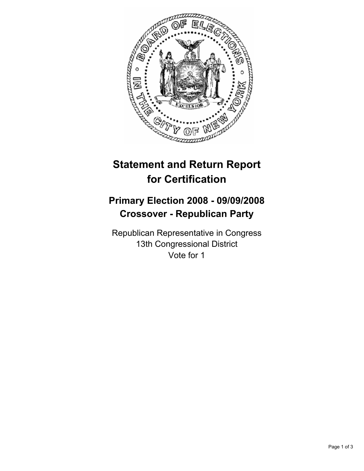

# **Statement and Return Report for Certification**

## **Primary Election 2008 - 09/09/2008 Crossover - Republican Party**

Republican Representative in Congress 13th Congressional District Vote for 1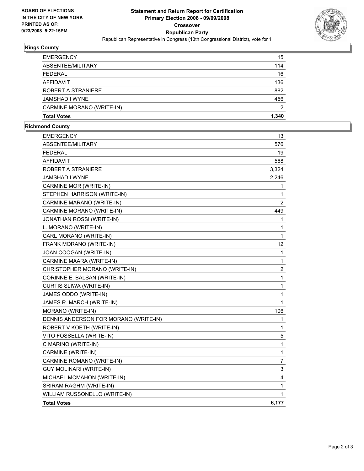

#### **Kings County**

| <b>EMERGENCY</b>          | 15    |
|---------------------------|-------|
| ABSENTEE/MILITARY         | 114   |
| <b>FEDERAL</b>            | 16    |
| AFFIDAVIT                 | 136   |
| ROBERT A STRANIERE        | 882   |
| JAMSHAD I WYNE            | 456   |
| CARMINE MORANO (WRITE-IN) | າ     |
| <b>Total Votes</b>        | 1.340 |

### **Richmond County**

| <b>EMERGENCY</b>                      | 13               |
|---------------------------------------|------------------|
| ABSENTEE/MILITARY                     | 576              |
| <b>FEDERAL</b>                        | 19               |
| <b>AFFIDAVIT</b>                      | 568              |
| ROBERT A STRANIERE                    | 3,324            |
| JAMSHAD I WYNE                        | 2,246            |
| CARMINE MOR (WRITE-IN)                | 1                |
| STEPHEN HARRISON (WRITE-IN)           | 1                |
| CARMINE MARANO (WRITE-IN)             | $\overline{2}$   |
| CARMINE MORANO (WRITE-IN)             | 449              |
| JONATHAN ROSSI (WRITE-IN)             | 1                |
| L. MORANO (WRITE-IN)                  | 1                |
| CARL MORANO (WRITE-IN)                | $\mathbf{1}$     |
| FRANK MORANO (WRITE-IN)               | 12               |
| JOAN COOGAN (WRITE-IN)                | 1                |
| CARMINE MAARA (WRITE-IN)              | $\mathbf{1}$     |
| CHRISTOPHER MORANO (WRITE-IN)         | $\boldsymbol{2}$ |
| CORINNE E. BALSAN (WRITE-IN)          | 1                |
| CURTIS SLIWA (WRITE-IN)               | 1                |
| JAMES ODDO (WRITE-IN)                 | 1                |
| JAMES R. MARCH (WRITE-IN)             | 1                |
| MORANO (WRITE-IN)                     | 106              |
| DENNIS ANDERSON FOR MORANO (WRITE-IN) | 1                |
| ROBERT V KOETH (WRITE-IN)             | 1                |
| VITO FOSSELLA (WRITE-IN)              | 5                |
| C MARINO (WRITE-IN)                   | 1                |
| CARMINE (WRITE-IN)                    | 1                |
| CARMINE ROMANO (WRITE-IN)             | 7                |
| <b>GUY MOLINARI (WRITE-IN)</b>        | 3                |
| MICHAEL MCMAHON (WRITE-IN)            | 4                |
| SRIRAM RAGHM (WRITE-IN)               | 1                |
| WILLIAM RUSSONELLO (WRITE-IN)         | 1                |
| <b>Total Votes</b>                    | 6,177            |
|                                       |                  |